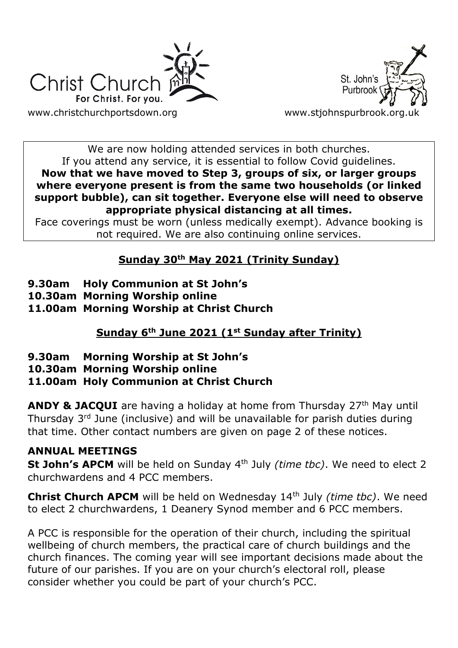



We are now holding attended services in both churches. If you attend any service, it is essential to follow Covid guidelines. **Now that we have moved to Step 3, groups of six, or larger groups where everyone present is from the same two households (or linked support bubble), can sit together. Everyone else will need to observe appropriate physical distancing at all times.**

Face coverings must be worn (unless medically exempt). Advance booking is not required. We are also continuing online services.

# **Sunday 30th May 2021 (Trinity Sunday)**

- **9.30am Holy Communion at St John's**
- **10.30am Morning Worship online**
- **11.00am Morning Worship at Christ Church**

# **Sunday 6th June 2021 (1st Sunday after Trinity)**

- **9.30am Morning Worship at St John's**
- **10.30am Morning Worship online**

## **11.00am Holy Communion at Christ Church**

**ANDY & JACQUI** are having a holiday at home from Thursday 27<sup>th</sup> May until Thursday 3rd June (inclusive) and will be unavailable for parish duties during that time. Other contact numbers are given on page 2 of these notices.

## **ANNUAL MEETINGS**

**St John's APCM** will be held on Sunday 4<sup>th</sup> July *(time tbc)*. We need to elect 2 churchwardens and 4 PCC members.

**Christ Church APCM** will be held on Wednesday 14th July *(time tbc)*. We need to elect 2 churchwardens, 1 Deanery Synod member and 6 PCC members.

A PCC is responsible for the operation of their church, including the spiritual wellbeing of church members, the practical care of church buildings and the church finances. The coming year will see important decisions made about the future of our parishes. If you are on your church's electoral roll, please consider whether you could be part of your church's PCC.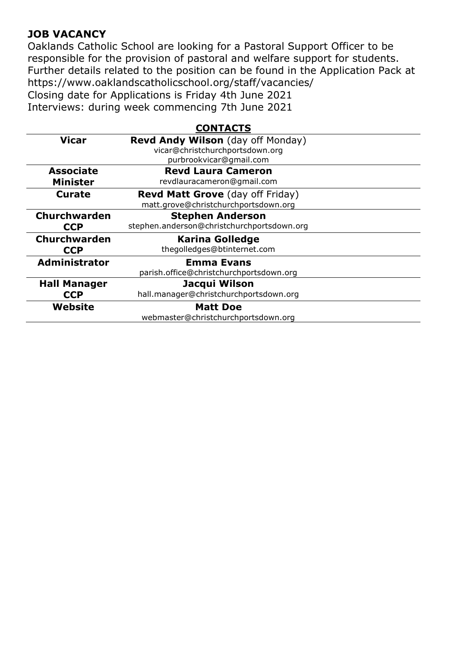### **JOB VACANCY**

Oaklands Catholic School are looking for a Pastoral Support Officer to be responsible for the provision of pastoral and welfare support for students. Further details related to the position can be found in the Application Pack at https://www.oaklandscatholicschool.org/staff/vacancies/ Closing date for Applications is Friday 4th June 2021 Interviews: during week commencing 7th June 2021

#### **CONTACTS**

| <b>Vicar</b>         | Revd Andy Wilson (day off Monday)          |
|----------------------|--------------------------------------------|
|                      | vicar@christchurchportsdown.org            |
|                      | purbrookvicar@gmail.com                    |
| <b>Associate</b>     | <b>Revd Laura Cameron</b>                  |
| <b>Minister</b>      | revdlauracameron@gmail.com                 |
| Curate               | <b>Revd Matt Grove</b> (day off Friday)    |
|                      | matt.grove@christchurchportsdown.org       |
| Churchwarden         | <b>Stephen Anderson</b>                    |
| <b>CCP</b>           | stephen.anderson@christchurchportsdown.org |
| Churchwarden         | <b>Karina Golledge</b>                     |
| <b>CCP</b>           | thegolledges@btinternet.com                |
| <b>Administrator</b> | <b>Emma Evans</b>                          |
|                      | parish.office@christchurchportsdown.org    |
| <b>Hall Manager</b>  | Jacqui Wilson                              |
| <b>CCP</b>           | hall.manager@christchurchportsdown.org     |
| Website              | <b>Matt Doe</b>                            |
|                      | webmaster@christchurchportsdown.org        |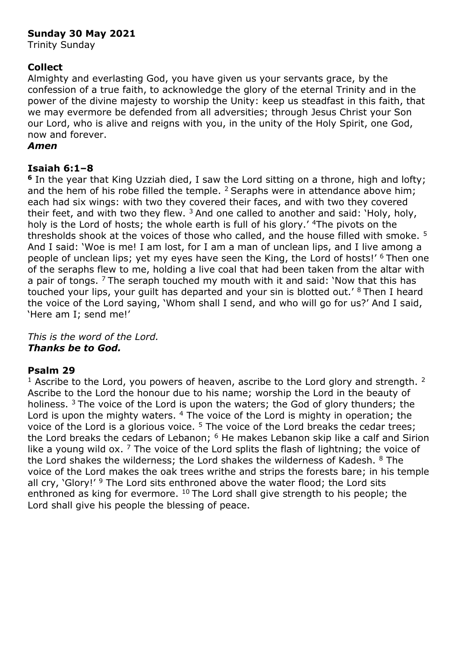#### **Sunday 30 May 2021**

Trinity Sunday

#### **Collect**

Almighty and everlasting God, you have given us your servants grace, by the confession of a true faith, to acknowledge the glory of the eternal Trinity and in the power of the divine majesty to worship the Unity: keep us steadfast in this faith, that we may evermore be defended from all adversities; through Jesus Christ your Son our Lord, who is alive and reigns with you, in the unity of the Holy Spirit, one God, now and forever.

#### *Amen*

#### **Isaiah 6:1–8**

**<sup>6</sup>** In the year that King Uzziah died, I saw the Lord sitting on a throne, high and lofty; and the hem of his robe filled the temple.  $2$  Seraphs were in attendance above him; each had six wings: with two they covered their faces, and with two they covered their feet, and with two they flew.  $3$  And one called to another and said: 'Holy, holy, holy is the Lord of hosts; the whole earth is full of his glory.' <sup>4</sup>The pivots on the thresholds shook at the voices of those who called, and the house filled with smoke. <sup>5</sup> And I said: 'Woe is me! I am lost, for I am a man of unclean lips, and I live among a people of unclean lips; yet my eyes have seen the King, the Lord of hosts!' <sup>6</sup> Then one of the seraphs flew to me, holding a live coal that had been taken from the altar with a pair of tongs. <sup>7</sup> The seraph touched my mouth with it and said: 'Now that this has touched your lips, your quilt has departed and your sin is blotted out.' <sup>8</sup> Then I heard the voice of the Lord saying, 'Whom shall I send, and who will go for us?' And I said, 'Here am I; send me!'

*This is the word of the Lord. Thanks be to God.*

#### **Psalm 29**

 $1$  Ascribe to the Lord, you powers of heaven, ascribe to the Lord glory and strength.  $2$ Ascribe to the Lord the honour due to his name; worship the Lord in the beauty of holiness. <sup>3</sup> The voice of the Lord is upon the waters; the God of glory thunders; the Lord is upon the mighty waters. <sup>4</sup> The voice of the Lord is mighty in operation; the voice of the Lord is a glorious voice.<sup>5</sup> The voice of the Lord breaks the cedar trees; the Lord breaks the cedars of Lebanon; <sup>6</sup> He makes Lebanon skip like a calf and Sirion like a young wild ox.  $7$  The voice of the Lord splits the flash of lightning; the voice of the Lord shakes the wilderness; the Lord shakes the wilderness of Kadesh,  $8$  The voice of the Lord makes the oak trees writhe and strips the forests bare; in his temple all cry, 'Glory!'  $9$  The Lord sits enthroned above the water flood; the Lord sits enthroned as king for evermore. <sup>10</sup> The Lord shall give strength to his people; the Lord shall give his people the blessing of peace.